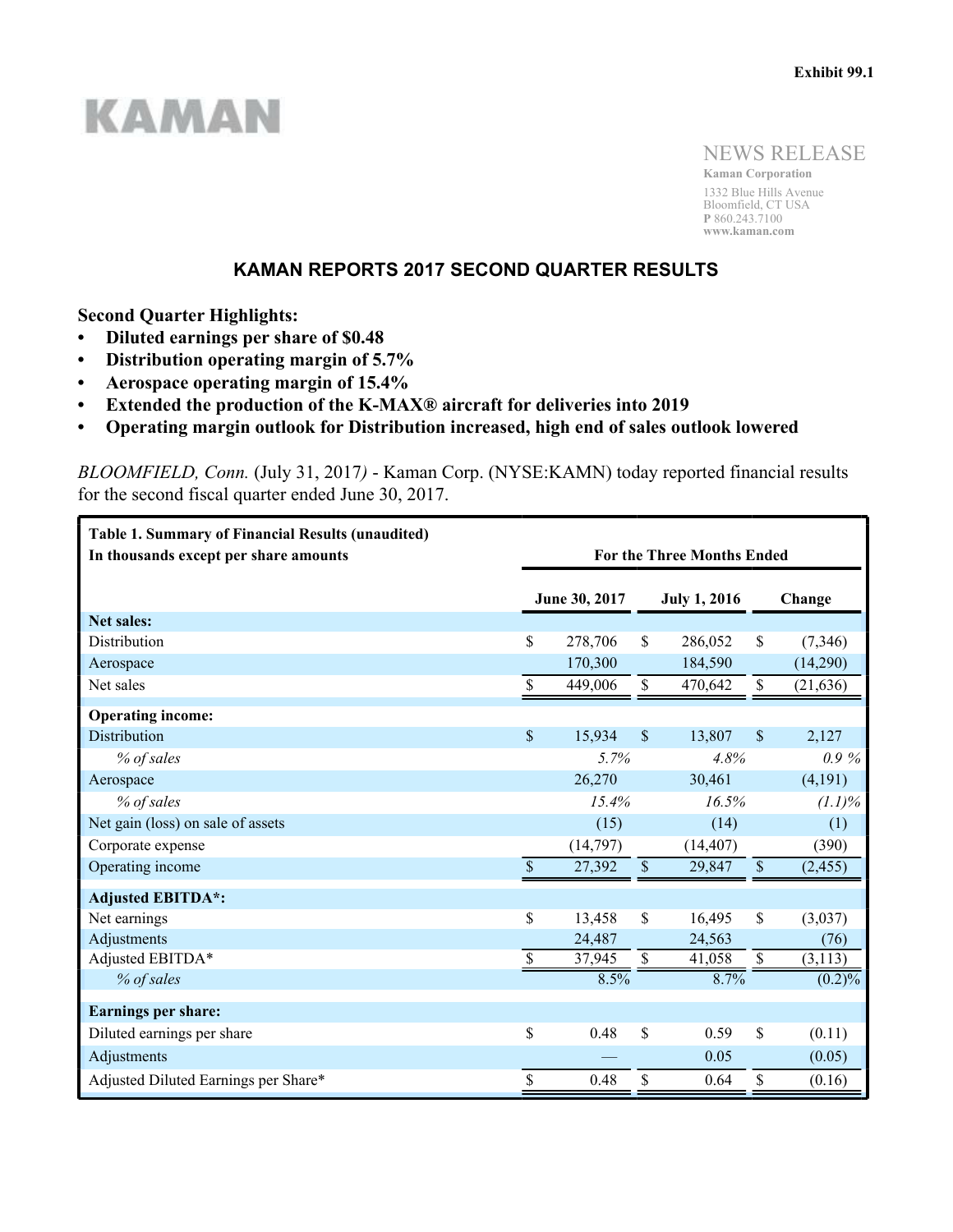# **KAMAN**

NEWS RELEASE

**Kaman Corporation** 1332 Blue Hills Avenue Bloomfield, CT USA **P** 860.243.7100 **www.kaman.com**

# **KAMAN REPORTS 2017 SECOND QUARTER RESULTS**

**Second Quarter Highlights:**

- **Diluted earnings per share of \$0.48**
- **Distribution operating margin of 5.7%**
- **Aerospace operating margin of 15.4%**
- **Extended the production of the K-MAX® aircraft for deliveries into 2019**
- **Operating margin outlook for Distribution increased, high end of sales outlook lowered**

*BLOOMFIELD, Conn.* (July 31, 2017*)* - Kaman Corp. (NYSE:KAMN) today reported financial results for the second fiscal quarter ended June 30, 2017.

| <b>Table 1. Summary of Financial Results (unaudited)</b><br>In thousands except per share amounts | <b>For the Three Months Ended</b> |               |                    |                     |                         |           |  |
|---------------------------------------------------------------------------------------------------|-----------------------------------|---------------|--------------------|---------------------|-------------------------|-----------|--|
|                                                                                                   |                                   | June 30, 2017 |                    | <b>July 1, 2016</b> |                         | Change    |  |
| <b>Net sales:</b>                                                                                 |                                   |               |                    |                     |                         |           |  |
| Distribution                                                                                      | \$                                | 278,706       | \$                 | 286,052             | \$                      | (7,346)   |  |
| Aerospace                                                                                         |                                   | 170,300       |                    | 184,590             |                         | (14,290)  |  |
| Net sales                                                                                         | \$                                | 449,006       | \$                 | 470,642             | \$                      | (21, 636) |  |
| <b>Operating income:</b>                                                                          |                                   |               |                    |                     |                         |           |  |
| Distribution                                                                                      | $\mathsf{\$}$                     | 15,934        | $\mathbf{\hat{S}}$ | 13,807              | $\mathcal{S}$           | 2,127     |  |
| % of sales                                                                                        | 5.7%                              |               | 4.8%               |                     | $0.9\%$                 |           |  |
| Aerospace                                                                                         |                                   | 26,270        |                    | 30,461              |                         | (4,191)   |  |
| % of sales                                                                                        | 15.4%                             |               | 16.5%              |                     | $(1.1)\%$               |           |  |
| Net gain (loss) on sale of assets                                                                 |                                   | (15)          |                    | (14)                |                         | (1)       |  |
| Corporate expense                                                                                 |                                   | (14,797)      |                    | (14, 407)           |                         | (390)     |  |
| Operating income                                                                                  | $\mathcal{S}$                     | 27,392        | $\mathbb S$        | 29,847              | $\$$                    | (2, 455)  |  |
| <b>Adjusted EBITDA*:</b>                                                                          |                                   |               |                    |                     |                         |           |  |
| Net earnings                                                                                      | $\mathbf{\hat{S}}$                | 13,458        | \$                 | 16,495              | \$                      | (3,037)   |  |
| Adjustments                                                                                       |                                   | 24,487        |                    | 24,563              |                         | (76)      |  |
| Adjusted EBITDA*                                                                                  | $\boldsymbol{\mathsf{S}}$         | 37,945        | $\mathbb{S}$       | 41,058              | $\overline{\mathbb{S}}$ | (3, 113)  |  |
| % of sales                                                                                        |                                   | 8.5%          |                    | 8.7%                |                         | $(0.2)\%$ |  |
| <b>Earnings per share:</b>                                                                        |                                   |               |                    |                     |                         |           |  |
| Diluted earnings per share                                                                        | \$                                | 0.48          | \$                 | 0.59                | \$                      | (0.11)    |  |
| Adjustments                                                                                       |                                   |               |                    | 0.05                |                         | (0.05)    |  |
| Adjusted Diluted Earnings per Share*                                                              | \$                                | 0.48          | \$                 | 0.64                | \$                      | (0.16)    |  |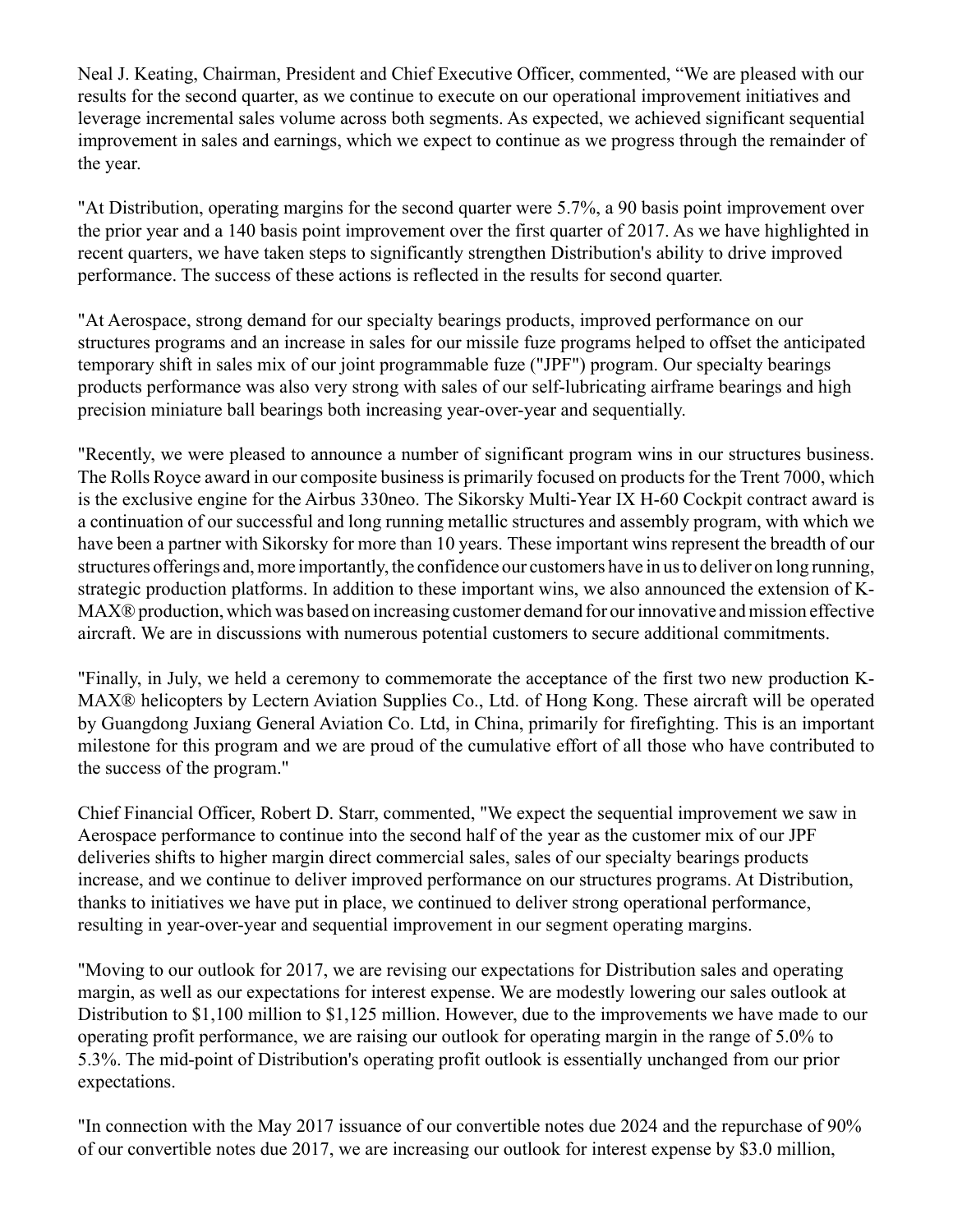Neal J. Keating, Chairman, President and Chief Executive Officer, commented, "We are pleased with our results for the second quarter, as we continue to execute on our operational improvement initiatives and leverage incremental sales volume across both segments. As expected, we achieved significant sequential improvement in sales and earnings, which we expect to continue as we progress through the remainder of the year.

"At Distribution, operating margins for the second quarter were 5.7%, a 90 basis point improvement over the prior year and a 140 basis point improvement over the first quarter of 2017. As we have highlighted in recent quarters, we have taken steps to significantly strengthen Distribution's ability to drive improved performance. The success of these actions is reflected in the results for second quarter.

"At Aerospace, strong demand for our specialty bearings products, improved performance on our structures programs and an increase in sales for our missile fuze programs helped to offset the anticipated temporary shift in sales mix of our joint programmable fuze ("JPF") program. Our specialty bearings products performance was also very strong with sales of our self-lubricating airframe bearings and high precision miniature ball bearings both increasing year-over-year and sequentially.

"Recently, we were pleased to announce a number of significant program wins in our structures business. The Rolls Royce award in our composite business is primarily focused on products for the Trent 7000, which is the exclusive engine for the Airbus 330neo. The Sikorsky Multi-Year IX H-60 Cockpit contract award is a continuation of our successful and long running metallic structures and assembly program, with which we have been a partner with Sikorsky for more than 10 years. These important wins represent the breadth of our structures offerings and, more importantly, the confidence our customers have in us to deliver on long running, strategic production platforms. In addition to these important wins, we also announced the extension of K-MAX® production, which was based on increasing customer demand for our innovative and mission effective aircraft. We are in discussions with numerous potential customers to secure additional commitments.

"Finally, in July, we held a ceremony to commemorate the acceptance of the first two new production K-MAX® helicopters by Lectern Aviation Supplies Co., Ltd. of Hong Kong. These aircraft will be operated by Guangdong Juxiang General Aviation Co. Ltd, in China, primarily for firefighting. This is an important milestone for this program and we are proud of the cumulative effort of all those who have contributed to the success of the program."

Chief Financial Officer, Robert D. Starr, commented, "We expect the sequential improvement we saw in Aerospace performance to continue into the second half of the year as the customer mix of our JPF deliveries shifts to higher margin direct commercial sales, sales of our specialty bearings products increase, and we continue to deliver improved performance on our structures programs. At Distribution, thanks to initiatives we have put in place, we continued to deliver strong operational performance, resulting in year-over-year and sequential improvement in our segment operating margins.

"Moving to our outlook for 2017, we are revising our expectations for Distribution sales and operating margin, as well as our expectations for interest expense. We are modestly lowering our sales outlook at Distribution to \$1,100 million to \$1,125 million. However, due to the improvements we have made to our operating profit performance, we are raising our outlook for operating margin in the range of 5.0% to 5.3%. The mid-point of Distribution's operating profit outlook is essentially unchanged from our prior expectations.

"In connection with the May 2017 issuance of our convertible notes due 2024 and the repurchase of 90% of our convertible notes due 2017, we are increasing our outlook for interest expense by \$3.0 million,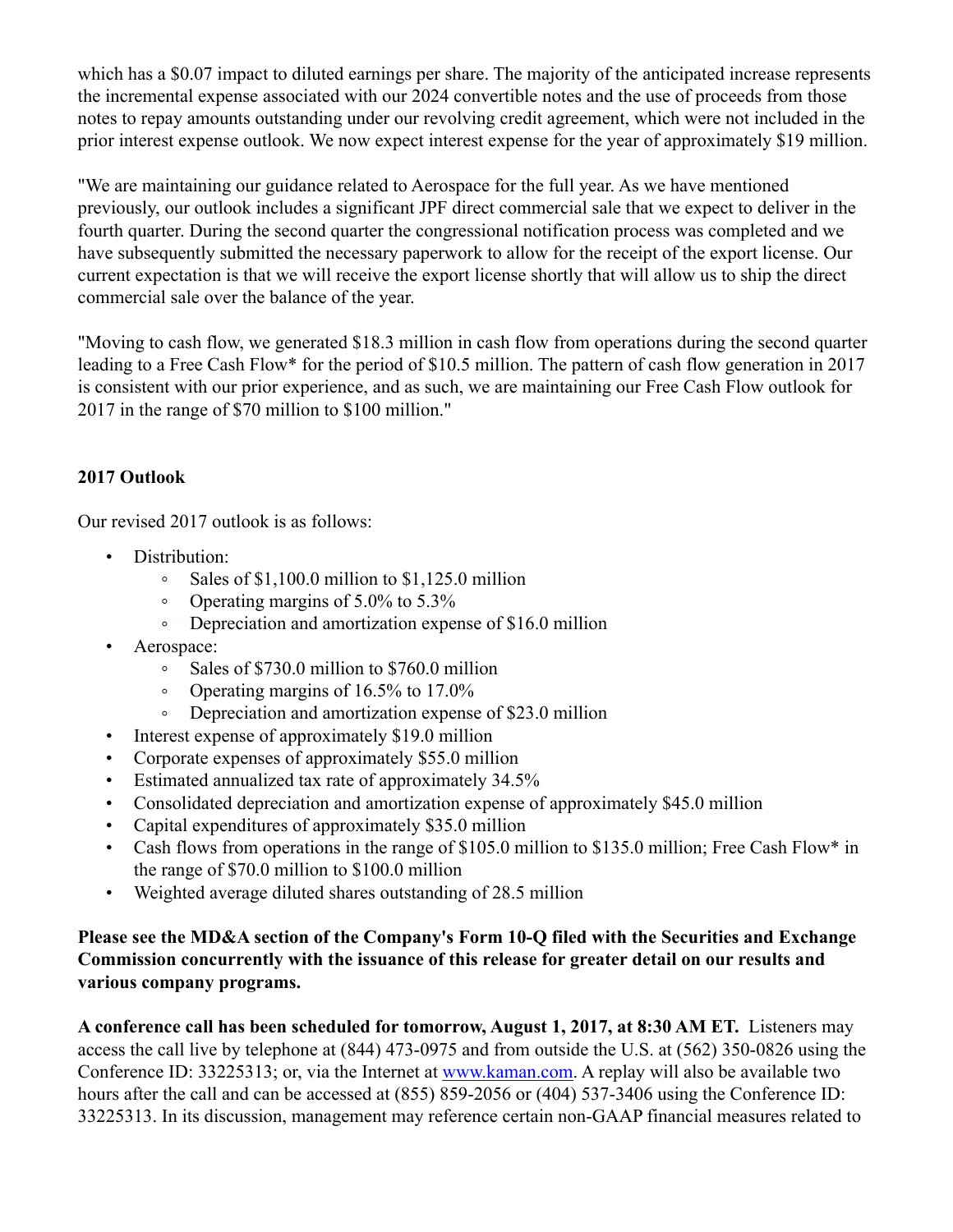which has a \$0.07 impact to diluted earnings per share. The majority of the anticipated increase represents the incremental expense associated with our 2024 convertible notes and the use of proceeds from those notes to repay amounts outstanding under our revolving credit agreement, which were not included in the prior interest expense outlook. We now expect interest expense for the year of approximately \$19 million.

"We are maintaining our guidance related to Aerospace for the full year. As we have mentioned previously, our outlook includes a significant JPF direct commercial sale that we expect to deliver in the fourth quarter. During the second quarter the congressional notification process was completed and we have subsequently submitted the necessary paperwork to allow for the receipt of the export license. Our current expectation is that we will receive the export license shortly that will allow us to ship the direct commercial sale over the balance of the year.

"Moving to cash flow, we generated \$18.3 million in cash flow from operations during the second quarter leading to a Free Cash Flow\* for the period of \$10.5 million. The pattern of cash flow generation in 2017 is consistent with our prior experience, and as such, we are maintaining our Free Cash Flow outlook for 2017 in the range of \$70 million to \$100 million."

# **2017 Outlook**

Our revised 2017 outlook is as follows:

- Distribution:
	- Sales of \$1,100.0 million to \$1,125.0 million  $\circ$
	- Operating margins of 5.0% to 5.3%  $\circ$
	- $\circ$ Depreciation and amortization expense of \$16.0 million
- Aerospace:
	- Sales of \$730.0 million to \$760.0 million  $\circ$
	- Operating margins of 16.5% to 17.0%  $\circ$
	- $\circ$ Depreciation and amortization expense of \$23.0 million
- Interest expense of approximately \$19.0 million
- Corporate expenses of approximately \$55.0 million
- Estimated annualized tax rate of approximately 34.5%
- Consolidated depreciation and amortization expense of approximately \$45.0 million
- Capital expenditures of approximately \$35.0 million
- Cash flows from operations in the range of \$105.0 million to \$135.0 million; Free Cash Flow\* in the range of \$70.0 million to \$100.0 million
- Weighted average diluted shares outstanding of 28.5 million

# **Please see the MD&A section of the Company's Form 10-Q filed with the Securities and Exchange Commission concurrently with the issuance of this release for greater detail on our results and various company programs.**

**A conference call has been scheduled for tomorrow, August 1, 2017, at 8:30 AM ET.** Listeners may access the call live by telephone at (844) 473-0975 and from outside the U.S. at (562) 350-0826 using the Conference ID: 33225313; or, via the Internet at www.kaman.com. A replay will also be available two hours after the call and can be accessed at  $(855) 859-2056$  or  $(404) 537-3406$  using the Conference ID: 33225313. In its discussion, management may reference certain non-GAAP financial measures related to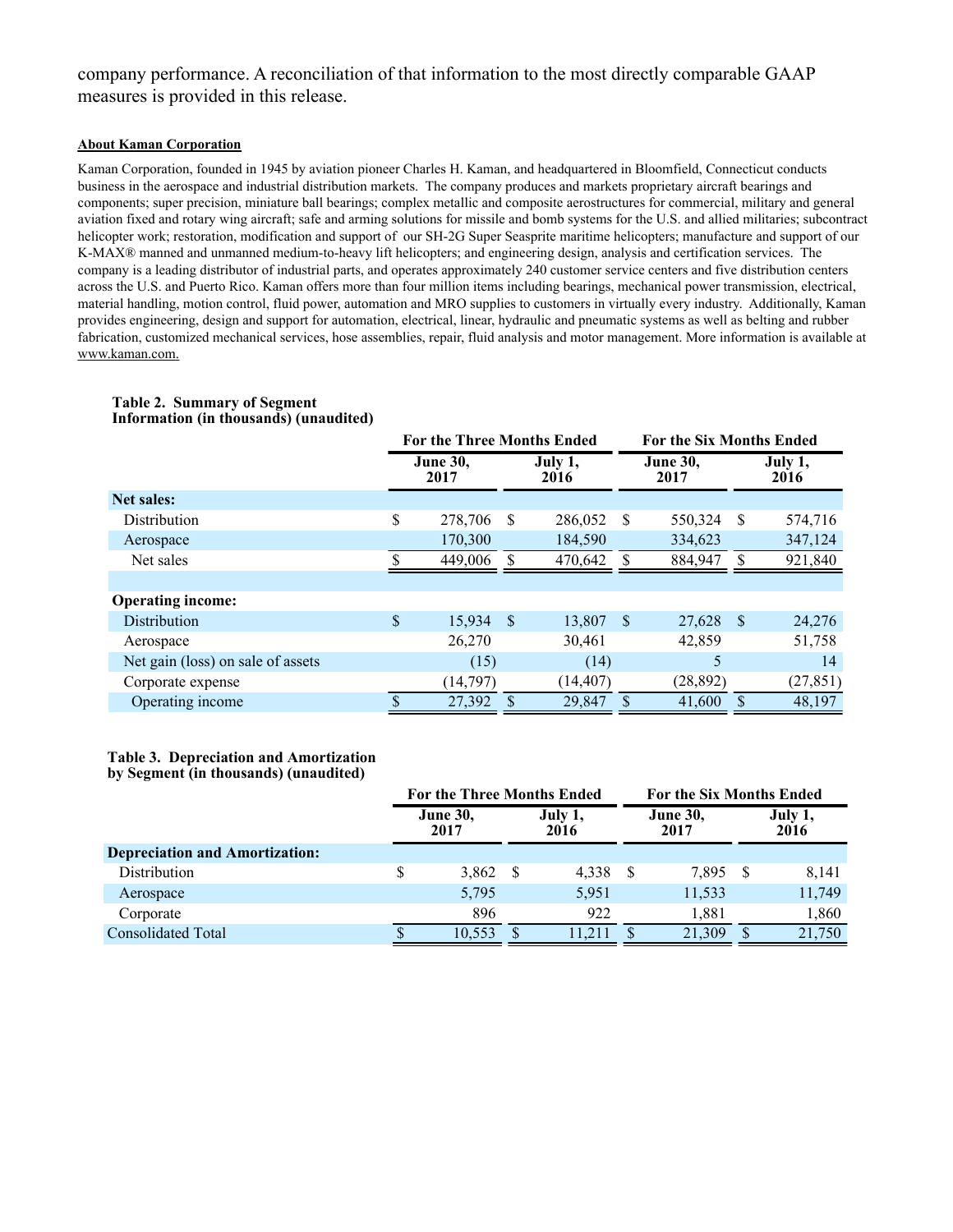## company performance. A reconciliation of that information to the most directly comparable GAAP measures is provided in this release.

#### **About Kaman Corporation**

Kaman Corporation, founded in 1945 by aviation pioneer Charles H. Kaman, and headquartered in Bloomfield, Connecticut conducts business in the aerospace and industrial distribution markets. The company produces and markets proprietary aircraft bearings and components; super precision, miniature ball bearings; complex metallic and composite aerostructures for commercial, military and general aviation fixed and rotary wing aircraft; safe and arming solutions for missile and bomb systems for the U.S. and allied militaries; subcontract helicopter work; restoration, modification and support of our SH-2G Super Seasprite maritime helicopters; manufacture and support of our K-MAX® manned and unmanned medium-to-heavy lift helicopters; and engineering design, analysis and certification services. The company is a leading distributor of industrial parts, and operates approximately 240 customer service centers and five distribution centers across the U.S. and Puerto Rico. Kaman offers more than four million items including bearings, mechanical power transmission, electrical, material handling, motion control, fluid power, automation and MRO supplies to customers in virtually every industry. Additionally, Kaman provides engineering, design and support for automation, electrical, linear, hydraulic and pneumatic systems as well as belting and rubber fabrication, customized mechanical services, hose assemblies, repair, fluid analysis and motor management. More information is available at www.kaman.com.

|                                   | <b>For the Three Months Ended</b> |                         |    |                 |               | <b>For the Six Months Ended</b> |     |                 |  |  |
|-----------------------------------|-----------------------------------|-------------------------|----|-----------------|---------------|---------------------------------|-----|-----------------|--|--|
|                                   |                                   | <b>June 30,</b><br>2017 |    | July 1,<br>2016 |               | <b>June 30,</b><br>2017         |     | July 1,<br>2016 |  |  |
| Net sales:                        |                                   |                         |    |                 |               |                                 |     |                 |  |  |
| Distribution                      | \$                                | 278,706                 | -S | 286,052         | -S            | 550,324                         | S   | 574,716         |  |  |
| Aerospace                         |                                   | 170,300                 |    | 184,590         |               | 334,623                         |     | 347,124         |  |  |
| Net sales                         |                                   | 449,006                 |    | 470,642         |               | 884,947                         | S.  | 921,840         |  |  |
|                                   |                                   |                         |    |                 |               |                                 |     |                 |  |  |
| <b>Operating income:</b>          |                                   |                         |    |                 |               |                                 |     |                 |  |  |
| Distribution                      | \$                                | $15,934$ \$             |    | 13,807          | <sup>\$</sup> | 27,628                          | -\$ | 24,276          |  |  |
| Aerospace                         |                                   | 26,270                  |    | 30,461          |               | 42,859                          |     | 51,758          |  |  |
| Net gain (loss) on sale of assets |                                   | (15)                    |    | (14)            |               | 5                               |     | 14              |  |  |
| Corporate expense                 |                                   | (14, 797)               |    | (14, 407)       |               | (28, 892)                       |     | (27, 851)       |  |  |
| Operating income                  |                                   | 27,392                  |    | 29,847          |               | 41,600                          |     | 48,197          |  |  |
|                                   |                                   |                         |    |                 |               |                                 |     |                 |  |  |

#### **Table 2. Summary of Segment Information (in thousands) (unaudited)**

## **Table 3. Depreciation and Amortization**

**by Segment (in thousands) (unaudited)**

|                                       | <b>For the Three Months Ended</b>          |        |   |                         |  | <b>For the Six Months Ended</b> |  |        |  |  |
|---------------------------------------|--------------------------------------------|--------|---|-------------------------|--|---------------------------------|--|--------|--|--|
|                                       | <b>June 30,</b><br>July 1,<br>2017<br>2016 |        |   | <b>June 30,</b><br>2017 |  | July 1,<br>2016                 |  |        |  |  |
| <b>Depreciation and Amortization:</b> |                                            |        |   |                         |  |                                 |  |        |  |  |
| Distribution                          |                                            | 3,862  | S | 4,338                   |  | 7.895                           |  | 8,141  |  |  |
| Aerospace                             |                                            | 5,795  |   | 5,951                   |  | 11,533                          |  | 11,749 |  |  |
| Corporate                             |                                            | 896    |   | 922                     |  | 1.881                           |  | 1,860  |  |  |
| <b>Consolidated Total</b>             |                                            | 10.553 |   | 11.211                  |  | 21.309                          |  | 21,750 |  |  |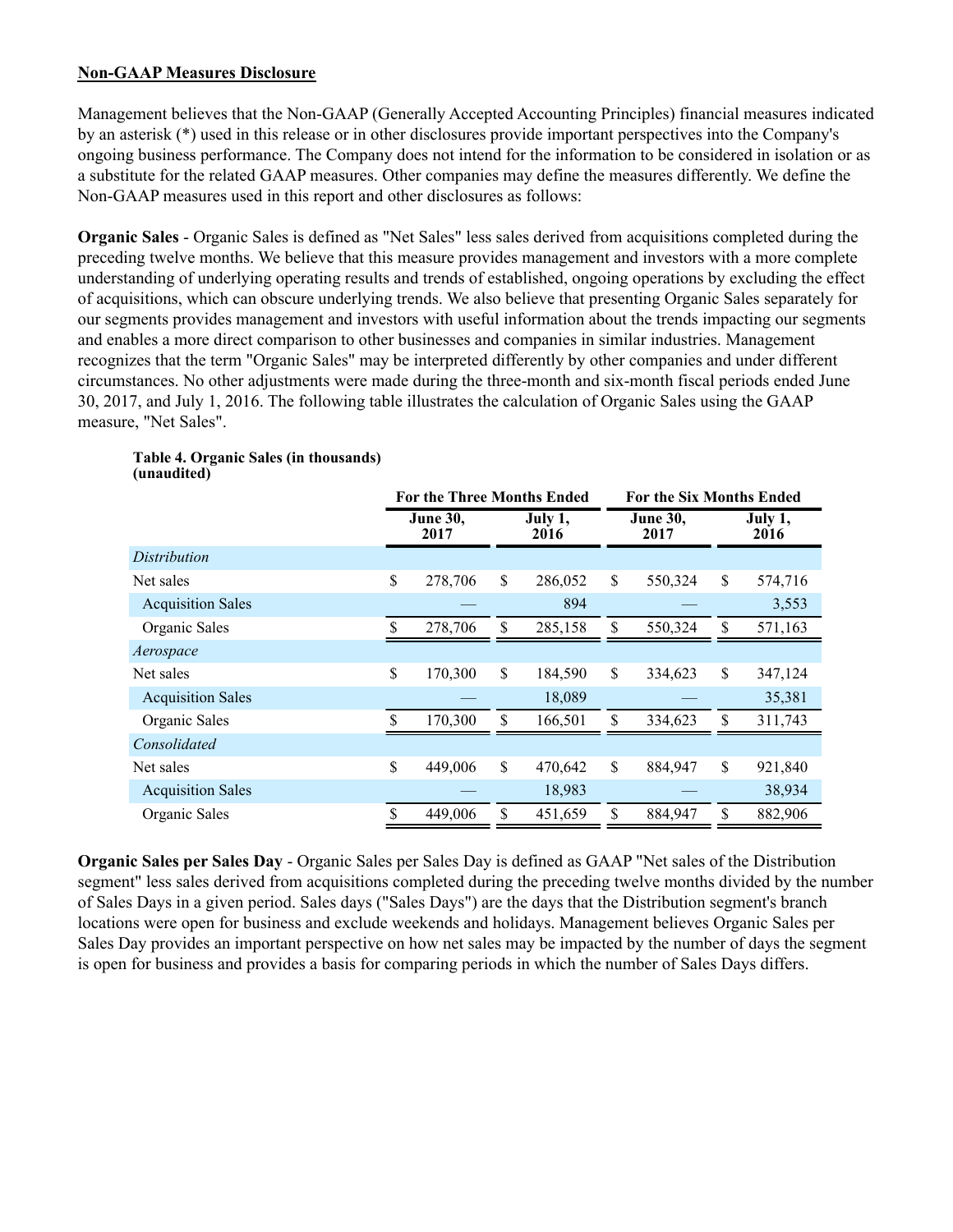## **Non-GAAP Measures Disclosure**

Management believes that the Non-GAAP (Generally Accepted Accounting Principles) financial measures indicated by an asterisk (\*) used in this release or in other disclosures provide important perspectives into the Company's ongoing business performance. The Company does not intend for the information to be considered in isolation or as a substitute for the related GAAP measures. Other companies may define the measures differently. We define the Non-GAAP measures used in this report and other disclosures as follows:

**Organic Sales** - Organic Sales is defined as "Net Sales" less sales derived from acquisitions completed during the preceding twelve months. We believe that this measure provides management and investors with a more complete understanding of underlying operating results and trends of established, ongoing operations by excluding the effect of acquisitions, which can obscure underlying trends. We also believe that presenting Organic Sales separately for our segments provides management and investors with useful information about the trends impacting our segments and enables a more direct comparison to other businesses and companies in similar industries. Management recognizes that the term "Organic Sales" may be interpreted differently by other companies and under different circumstances. No other adjustments were made during the three-month and six-month fiscal periods ended June 30, 2017, and July 1, 2016. The following table illustrates the calculation of Organic Sales using the GAAP measure, "Net Sales".

|                         |    | For the Six Months Ended |                                   |                         |    |                 |  |
|-------------------------|----|--------------------------|-----------------------------------|-------------------------|----|-----------------|--|
| <b>June 30,</b><br>2017 |    | July 1,<br>2016          |                                   | <b>June 30,</b><br>2017 |    | July 1,<br>2016 |  |
|                         |    |                          |                                   |                         |    |                 |  |
| 278,706                 | \$ | 286,052                  | \$                                | 550,324                 | \$ | 574,716         |  |
|                         |    | 894                      |                                   |                         |    | 3,553           |  |
| 278,706                 | \$ | 285,158                  | \$                                | 550,324                 | \$ | 571,163         |  |
|                         |    |                          |                                   |                         |    |                 |  |
| 170,300                 | \$ | 184,590                  | \$                                | 334,623                 | \$ | 347,124         |  |
|                         |    | 18,089                   |                                   |                         |    | 35,381          |  |
| 170,300                 | \$ | 166,501                  | \$                                | 334,623                 | \$ | 311,743         |  |
|                         |    |                          |                                   |                         |    |                 |  |
| 449,006                 | \$ | 470,642                  | \$                                | 884,947                 | \$ | 921,840         |  |
|                         |    | 18,983                   |                                   |                         |    | 38,934          |  |
| 449,006                 | \$ | 451,659                  | \$                                | 884,947                 | \$ | 882,906         |  |
|                         |    |                          | <b>For the Three Months Ended</b> |                         |    |                 |  |

#### **Table 4. Organic Sales (in thousands) (unaudited)**

**Organic Sales per Sales Day** - Organic Sales per Sales Day is defined as GAAP "Net sales of the Distribution segment" less sales derived from acquisitions completed during the preceding twelve months divided by the number of Sales Days in a given period. Sales days ("Sales Days") are the days that the Distribution segment's branch locations were open for business and exclude weekends and holidays. Management believes Organic Sales per Sales Day provides an important perspective on how net sales may be impacted by the number of days the segment is open for business and provides a basis for comparing periods in which the number of Sales Days differs.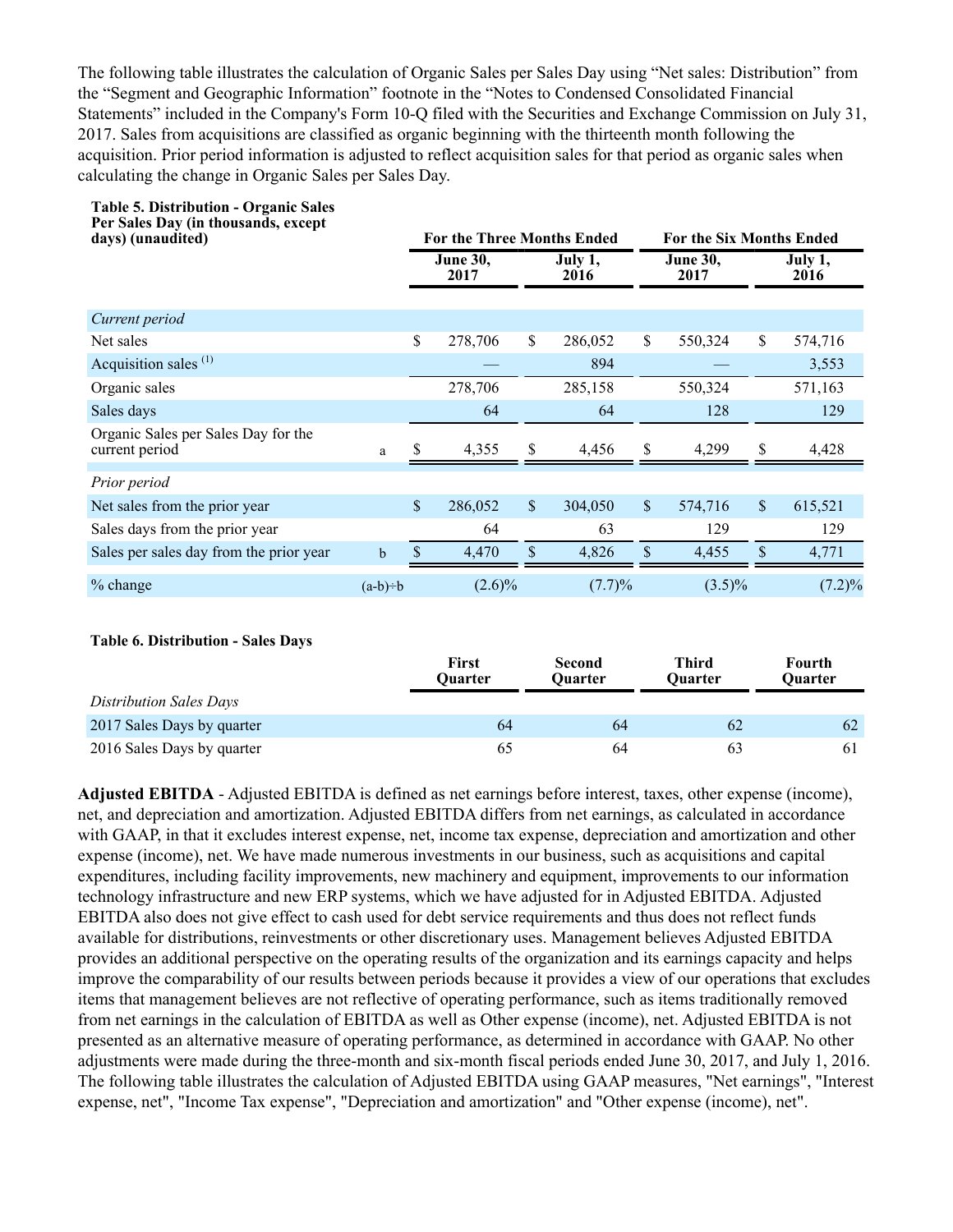The following table illustrates the calculation of Organic Sales per Sales Day using "Net sales: Distribution" from the "Segment and Geographic Information" footnote in the "Notes to Condensed Consolidated Financial Statements" included in the Company's Form 10-Q filed with the Securities and Exchange Commission on July 31, 2017. Sales from acquisitions are classified as organic beginning with the thirteenth month following the acquisition. Prior period information is adjusted to reflect acquisition sales for that period as organic sales when calculating the change in Organic Sales per Sales Day.

| Per Sales Day (in thousands, except<br>days) (unaudited) |             |               | <b>For the Three Months Ended</b> |              |                 |              | <b>For the Six Months Ended</b> |              |                 |  |  |  |
|----------------------------------------------------------|-------------|---------------|-----------------------------------|--------------|-----------------|--------------|---------------------------------|--------------|-----------------|--|--|--|
|                                                          |             |               | <b>June 30,</b><br>2017           |              | July 1,<br>2016 |              | <b>June 30,</b><br>2017         |              | July 1,<br>2016 |  |  |  |
| Current period                                           |             |               |                                   |              |                 |              |                                 |              |                 |  |  |  |
| Net sales                                                |             | $\mathsf{\$}$ | 278,706                           | \$           | 286,052         | \$           | 550,324                         | \$           | 574,716         |  |  |  |
| Acquisition sales $(1)$                                  |             |               |                                   |              | 894             |              |                                 |              | 3,553           |  |  |  |
| Organic sales                                            |             |               | 278,706                           |              | 285,158         |              | 550,324                         |              | 571,163         |  |  |  |
| Sales days                                               |             |               | 64                                |              | 64              |              | 128                             |              | 129             |  |  |  |
| Organic Sales per Sales Day for the<br>current period    | a           |               | 4,355                             | \$           | 4,456           | \$           | 4,299                           | \$           | 4,428           |  |  |  |
| Prior period                                             |             |               |                                   |              |                 |              |                                 |              |                 |  |  |  |
| Net sales from the prior year                            |             | $\mathcal{S}$ | 286,052                           | $\sqrt{\ }$  | 304,050         | $\mathbb{S}$ | 574,716                         | $\mathbb{S}$ | 615,521         |  |  |  |
| Sales days from the prior year                           |             |               | 64                                |              | 63              |              | 129                             |              | 129             |  |  |  |
| Sales per sales day from the prior year                  | $\mathbf b$ | \$            | 4,470                             | $\mathbf{s}$ | 4,826           | $\mathbb{S}$ | 4,455                           | \$           | 4,771           |  |  |  |
| $%$ change                                               | $(a-b)=b$   |               | $(2.6)\%$                         |              | (7.7)%          |              | $(3.5)\%$                       |              | $(7.2)\%$       |  |  |  |
|                                                          |             |               |                                   |              |                 |              |                                 |              |                 |  |  |  |

#### **Table 6. Distribution - Sales Days**

**Table 5. Distribution - Organic Sales**

|                            | First<br><b>Ouarter</b> | <b>Second</b><br><b>Ouarter</b> | Third<br><b>Ouarter</b> | Fourth<br><b>Ouarter</b> |
|----------------------------|-------------------------|---------------------------------|-------------------------|--------------------------|
| Distribution Sales Days    |                         |                                 |                         |                          |
| 2017 Sales Days by quarter | 64                      | 64                              | 62                      | 62                       |
| 2016 Sales Days by quarter | 65                      | 64                              | 63                      | 61                       |

**Adjusted EBITDA** - Adjusted EBITDA is defined as net earnings before interest, taxes, other expense (income), net, and depreciation and amortization. Adjusted EBITDA differs from net earnings, as calculated in accordance with GAAP, in that it excludes interest expense, net, income tax expense, depreciation and amortization and other expense (income), net. We have made numerous investments in our business, such as acquisitions and capital expenditures, including facility improvements, new machinery and equipment, improvements to our information technology infrastructure and new ERP systems, which we have adjusted for in Adjusted EBITDA. Adjusted EBITDA also does not give effect to cash used for debt service requirements and thus does not reflect funds available for distributions, reinvestments or other discretionary uses. Management believes Adjusted EBITDA provides an additional perspective on the operating results of the organization and its earnings capacity and helps improve the comparability of our results between periods because it provides a view of our operations that excludes items that management believes are not reflective of operating performance, such as items traditionally removed from net earnings in the calculation of EBITDA as well as Other expense (income), net. Adjusted EBITDA is not presented as an alternative measure of operating performance, as determined in accordance with GAAP. No other adjustments were made during the three-month and six-month fiscal periods ended June 30, 2017, and July 1, 2016. The following table illustrates the calculation of Adjusted EBITDA using GAAP measures, "Net earnings", "Interest expense, net", "Income Tax expense", "Depreciation and amortization" and "Other expense (income), net".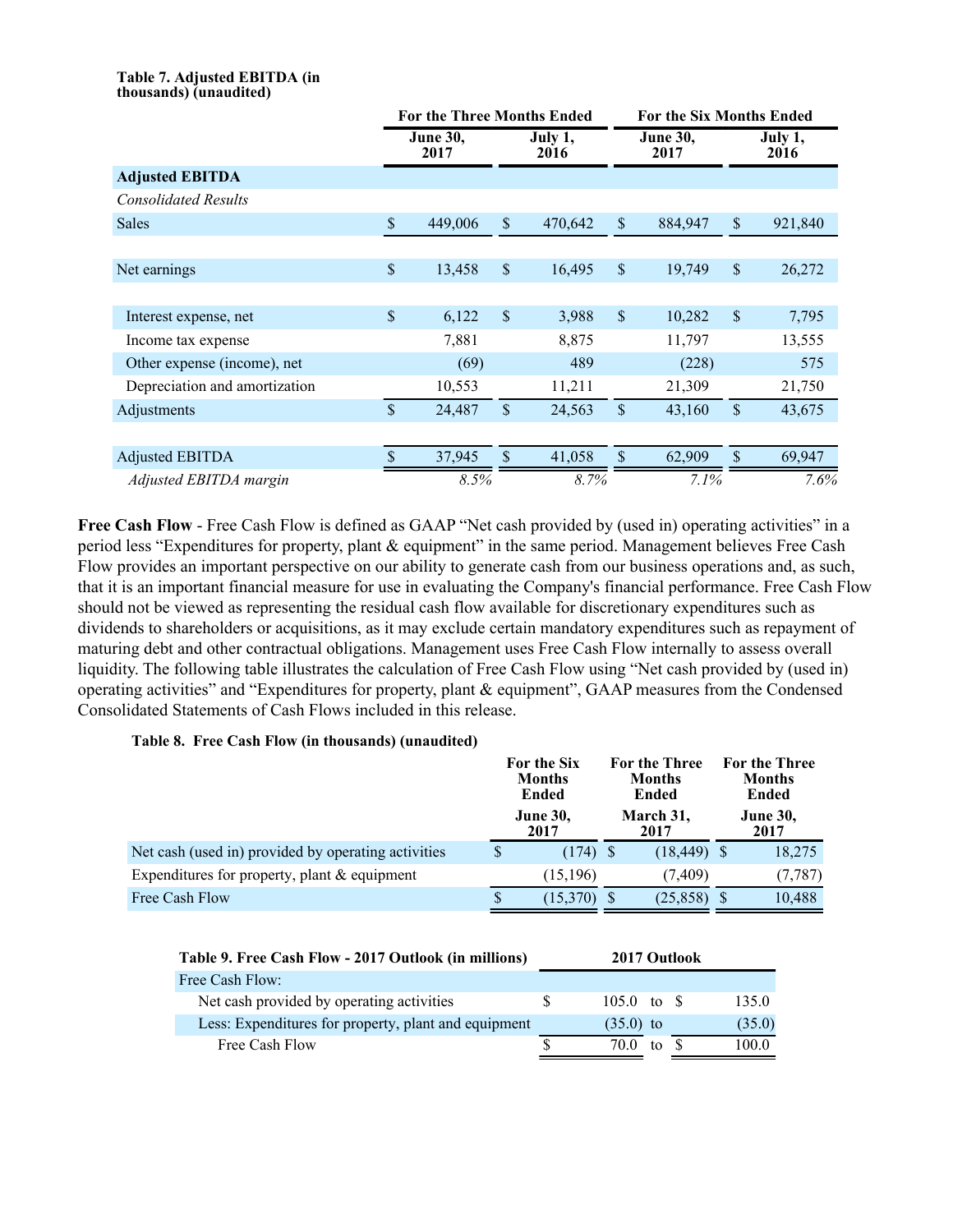#### **Table 7. Adjusted EBITDA (in thousands) (unaudited)**

|                               |                         | <b>For the Three Months Ended</b> |                           | <b>For the Six Months Ended</b> |                           |                         |                           |                 |
|-------------------------------|-------------------------|-----------------------------------|---------------------------|---------------------------------|---------------------------|-------------------------|---------------------------|-----------------|
|                               | <b>June 30,</b><br>2017 |                                   |                           | July 1,<br>2016                 |                           | <b>June 30,</b><br>2017 |                           | July 1,<br>2016 |
| <b>Adjusted EBITDA</b>        |                         |                                   |                           |                                 |                           |                         |                           |                 |
| <b>Consolidated Results</b>   |                         |                                   |                           |                                 |                           |                         |                           |                 |
| <b>Sales</b>                  | $\mathcal{S}$           | 449,006                           | $\boldsymbol{\mathsf{S}}$ | 470,642                         | $\boldsymbol{\mathsf{S}}$ | 884,947                 | $\boldsymbol{\mathsf{S}}$ | 921,840         |
|                               |                         |                                   |                           |                                 |                           |                         |                           |                 |
| Net earnings                  | $\mathsf{\$}$           | 13,458                            | $\mathsf{\$}$             | 16,495                          | $\mathbf{\hat{S}}$        | 19,749                  | $\mathcal{S}$             | 26,272          |
|                               |                         |                                   |                           |                                 |                           |                         |                           |                 |
| Interest expense, net         | \$                      | 6,122                             | $\boldsymbol{\mathsf{S}}$ | 3,988                           | $\boldsymbol{\mathsf{S}}$ | 10,282                  | \$                        | 7,795           |
| Income tax expense            |                         | 7,881                             |                           | 8,875                           |                           | 11,797                  |                           | 13,555          |
| Other expense (income), net   |                         | (69)                              |                           | 489                             |                           | (228)                   |                           | 575             |
| Depreciation and amortization |                         | 10,553                            |                           | 11,211                          |                           | 21,309                  |                           | 21,750          |
| Adjustments                   | $\mathbf S$             | 24,487                            | $\mathcal{S}$             | 24,563                          | \$                        | 43,160                  | $\mathcal{S}$             | 43,675          |
|                               |                         |                                   |                           |                                 |                           |                         |                           |                 |
| <b>Adjusted EBITDA</b>        | \$                      | 37,945                            | $\sqrt{\ }$               | 41,058                          | $\mathsf{\$}$             | 62,909                  | $\mathsf{\$}$             | 69,947          |
| Adjusted EBITDA margin        |                         | 8.5%                              |                           | 8.7%                            |                           | 7.1%                    |                           | 7.6%            |

Free Cash Flow - Free Cash Flow is defined as GAAP "Net cash provided by (used in) operating activities" in a period less "Expenditures for property, plant & equipment" in the same period. Management believes Free Cash Flow provides an important perspective on our ability to generate cash from our business operations and, as such, that it is an important financial measure for use in evaluating the Company's financial performance. Free Cash Flow should not be viewed as representing the residual cash flow available for discretionary expenditures such as dividends to shareholders or acquisitions, as it may exclude certain mandatory expenditures such as repayment of maturing debt and other contractual obligations. Management uses Free Cash Flow internally to assess overall liquidity. The following table illustrates the calculation of Free Cash Flow using "Net cash provided by (used in) operating activities" and "Expenditures for property, plant & equipment", GAAP measures from the Condensed Consolidated Statements of Cash Flows included in this release.

#### **Table 8. Free Cash Flow (in thousands) (unaudited)**

|                                                     |   | For the Six<br><b>Months</b><br><b>Ended</b> |  | For the Three<br><b>Months</b><br>Ended | For the Three<br><b>Months</b><br>Ended |
|-----------------------------------------------------|---|----------------------------------------------|--|-----------------------------------------|-----------------------------------------|
|                                                     |   | <b>June 30,</b><br>2017                      |  | March 31,<br>2017                       | <b>June 30,</b><br>2017                 |
| Net cash (used in) provided by operating activities | S | $(174)$ \$                                   |  | $(18, 449)$ \$                          | 18,275                                  |
| Expenditures for property, plant $&$ equipment      |   | (15, 196)                                    |  | (7.409)                                 | (7, 787)                                |
| Free Cash Flow                                      | S | (15,370)                                     |  | (25, 858)                               | 10,488                                  |

| Table 9. Free Cash Flow - 2017 Outlook (in millions) | 2017 Outlook |             |    |  |        |
|------------------------------------------------------|--------------|-------------|----|--|--------|
| Free Cash Flow:                                      |              |             |    |  |        |
| Net cash provided by operating activities            | S.           | 105.0 to \$ |    |  | 135.0  |
| Less: Expenditures for property, plant and equipment |              | $(35.0)$ to |    |  | (35.0) |
| Free Cash Flow                                       |              | 70 O        | to |  | 100.0  |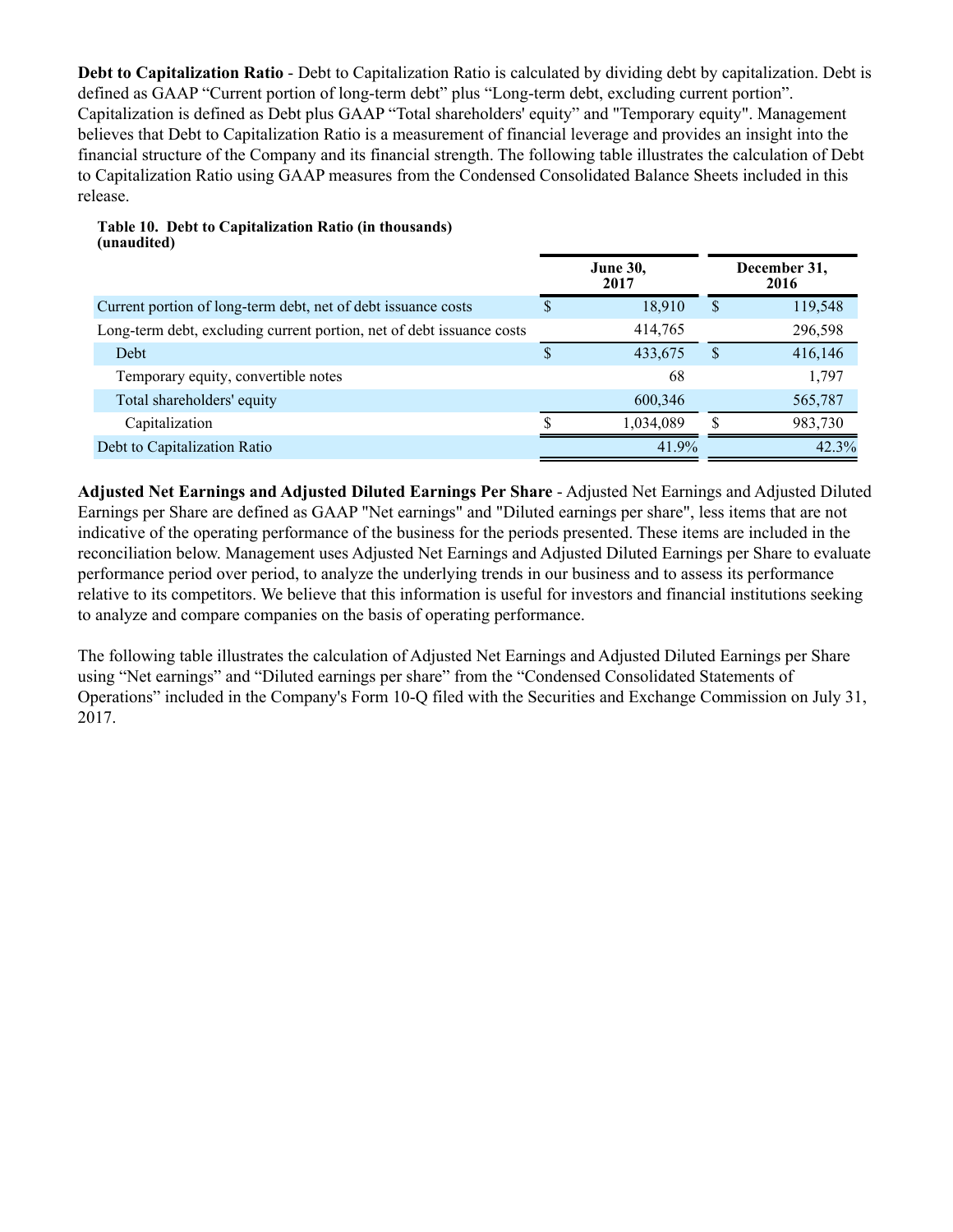**Debt to Capitalization Ratio** - Debt to Capitalization Ratio is calculated by dividing debt by capitalization. Debt is defined as GAAP "Current portion of long-term debt" plus "Long-term debt, excluding current portion". Capitalization is defined as Debt plus GAAP "Total shareholders' equity" and "Temporary equity". Management believes that Debt to Capitalization Ratio is a measurement of financial leverage and provides an insight into the financial structure of the Company and its financial strength. The following table illustrates the calculation of Debt to Capitalization Ratio using GAAP measures from the Condensed Consolidated Balance Sheets included in this release.

|                                                                       |          | <b>June 30,</b><br>2017 |              | December 31,<br>2016 |
|-----------------------------------------------------------------------|----------|-------------------------|--------------|----------------------|
| Current portion of long-term debt, net of debt issuance costs         | S        | 18.910                  | <sup>S</sup> | 119,548              |
| Long-term debt, excluding current portion, net of debt issuance costs |          | 414,765                 |              | 296,598              |
| Debt                                                                  | <b>S</b> | 433,675                 | <b>S</b>     | 416,146              |
| Temporary equity, convertible notes                                   |          | 68                      |              | 1,797                |
| Total shareholders' equity                                            |          | 600,346                 |              | 565,787              |
| Capitalization                                                        |          | 1,034,089               |              | 983,730              |
| Debt to Capitalization Ratio                                          |          | 41.9%                   |              | 42.3%                |

**Table 10. Debt to Capitalization Ratio (in thousands) (unaudited)**

**Adjusted Net Earnings and Adjusted Diluted Earnings Per Share** - Adjusted Net Earnings and Adjusted Diluted Earnings per Share are defined as GAAP "Net earnings" and "Diluted earnings per share", less items that are not indicative of the operating performance of the business for the periods presented. These items are included in the reconciliation below. Management uses Adjusted Net Earnings and Adjusted Diluted Earnings per Share to evaluate performance period over period, to analyze the underlying trends in our business and to assess its performance relative to its competitors. We believe that this information is useful for investors and financial institutions seeking to analyze and compare companies on the basis of operating performance.

The following table illustrates the calculation of Adjusted Net Earnings and Adjusted Diluted Earnings per Share using "Net earnings" and "Diluted earnings per share" from the "Condensed Consolidated Statements of Operations" included in the Company's Form 10-Q filed with the Securities and Exchange Commission on July 31, 2017.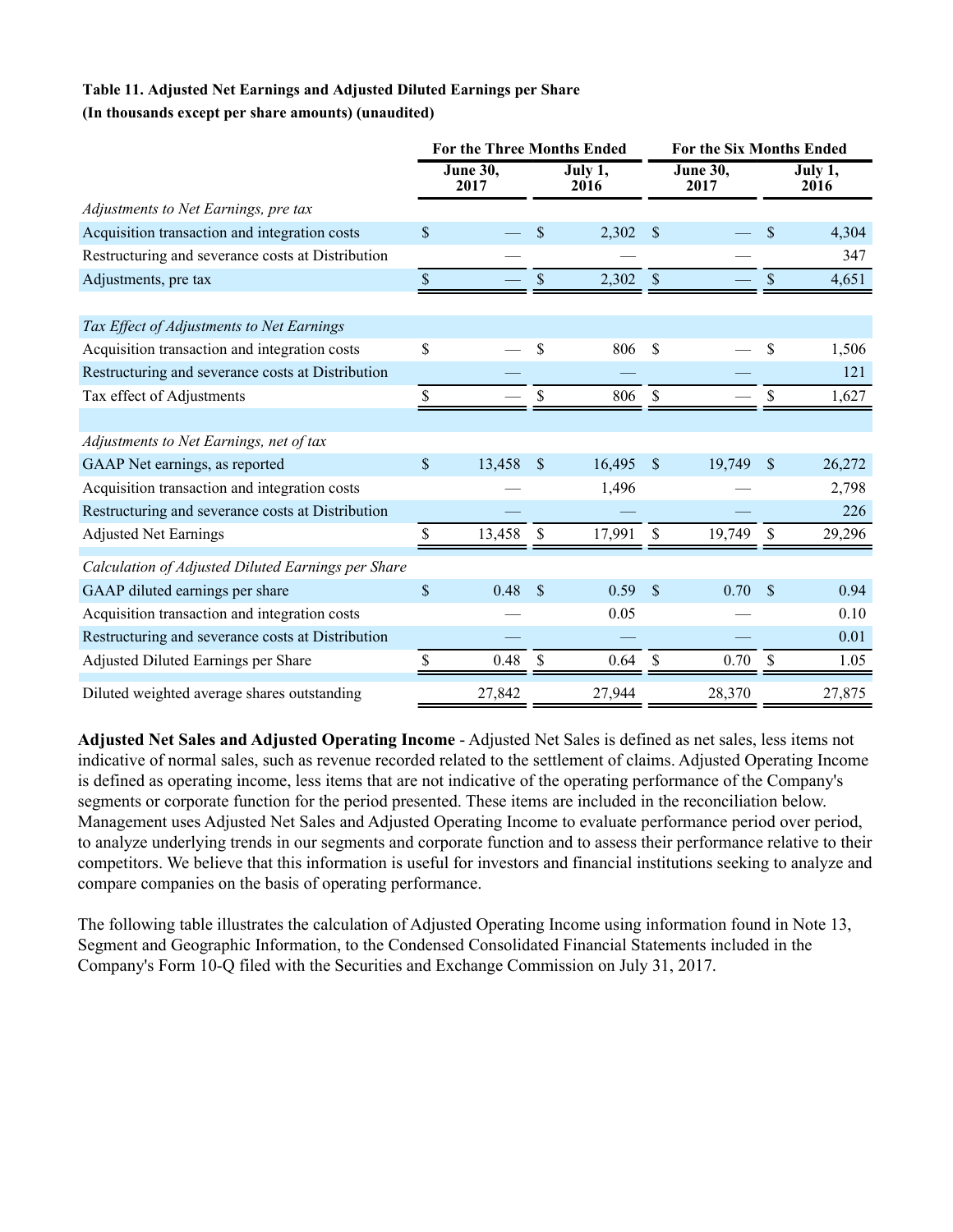### **Table 11. Adjusted Net Earnings and Adjusted Diluted Earnings per Share (In thousands except per share amounts) (unaudited)**

|                                                    |                           | <b>For the Three Months Ended</b> |               |                 |               | <b>For the Six Months Ended</b> |               |                 |  |  |
|----------------------------------------------------|---------------------------|-----------------------------------|---------------|-----------------|---------------|---------------------------------|---------------|-----------------|--|--|
|                                                    |                           | <b>June 30,</b><br>2017           |               | July 1,<br>2016 |               | June $30,$<br>2017              |               | July 1,<br>2016 |  |  |
| Adjustments to Net Earnings, pre tax               |                           |                                   |               |                 |               |                                 |               |                 |  |  |
| Acquisition transaction and integration costs      | \$                        |                                   | \$            | 2,302           | <sup>\$</sup> |                                 | \$            | 4,304           |  |  |
| Restructuring and severance costs at Distribution  |                           |                                   |               |                 |               |                                 |               | 347             |  |  |
| Adjustments, pre tax                               | $\$$                      |                                   | \$            | 2,302           | \$            |                                 | \$            | 4,651           |  |  |
|                                                    |                           |                                   |               |                 |               |                                 |               |                 |  |  |
| Tax Effect of Adjustments to Net Earnings          |                           |                                   |               |                 |               |                                 |               |                 |  |  |
| Acquisition transaction and integration costs      | \$                        |                                   | \$            | 806             | \$            |                                 | \$            | 1,506           |  |  |
| Restructuring and severance costs at Distribution  |                           |                                   |               |                 |               |                                 |               | 121             |  |  |
| Tax effect of Adjustments                          | \$                        |                                   | \$            | 806             | \$            |                                 | \$            | 1,627           |  |  |
|                                                    |                           |                                   |               |                 |               |                                 |               |                 |  |  |
| Adjustments to Net Earnings, net of tax            |                           |                                   |               |                 |               |                                 |               |                 |  |  |
| GAAP Net earnings, as reported                     | $\boldsymbol{\mathsf{S}}$ | 13,458                            | \$            | 16,495          | \$            | 19,749                          | \$            | 26,272          |  |  |
| Acquisition transaction and integration costs      |                           |                                   |               | 1,496           |               |                                 |               | 2,798           |  |  |
| Restructuring and severance costs at Distribution  |                           |                                   |               |                 |               |                                 |               | 226             |  |  |
| <b>Adjusted Net Earnings</b>                       | S                         | 13,458                            | S             | 17,991          | \$            | 19.749                          | S             | 29,296          |  |  |
| Calculation of Adjusted Diluted Earnings per Share |                           |                                   |               |                 |               |                                 |               |                 |  |  |
| GAAP diluted earnings per share                    | \$                        | 0.48                              | $\mathcal{S}$ | 0.59            | $\mathcal{S}$ | 0.70                            | $\mathcal{S}$ | 0.94            |  |  |
| Acquisition transaction and integration costs      |                           |                                   |               | 0.05            |               |                                 |               | 0.10            |  |  |
| Restructuring and severance costs at Distribution  |                           |                                   |               |                 |               |                                 |               | 0.01            |  |  |
| Adjusted Diluted Earnings per Share                |                           | 0.48                              | \$            | 0.64            | \$            | 0.70                            | \$            | 1.05            |  |  |
| Diluted weighted average shares outstanding        |                           | 27,842                            |               | 27,944          |               | 28,370                          |               | 27,875          |  |  |

**Adjusted Net Sales and Adjusted Operating Income** - Adjusted Net Sales is defined as net sales, less items not indicative of normal sales, such as revenue recorded related to the settlement of claims. Adjusted Operating Income is defined as operating income, less items that are not indicative of the operating performance of the Company's segments or corporate function for the period presented. These items are included in the reconciliation below. Management uses Adjusted Net Sales and Adjusted Operating Income to evaluate performance period over period, to analyze underlying trends in our segments and corporate function and to assess their performance relative to their competitors. We believe that this information is useful for investors and financial institutions seeking to analyze and compare companies on the basis of operating performance.

The following table illustrates the calculation of Adjusted Operating Income using information found in Note 13, Segment and Geographic Information, to the Condensed Consolidated Financial Statements included in the Company's Form 10-Q filed with the Securities and Exchange Commission on July 31, 2017.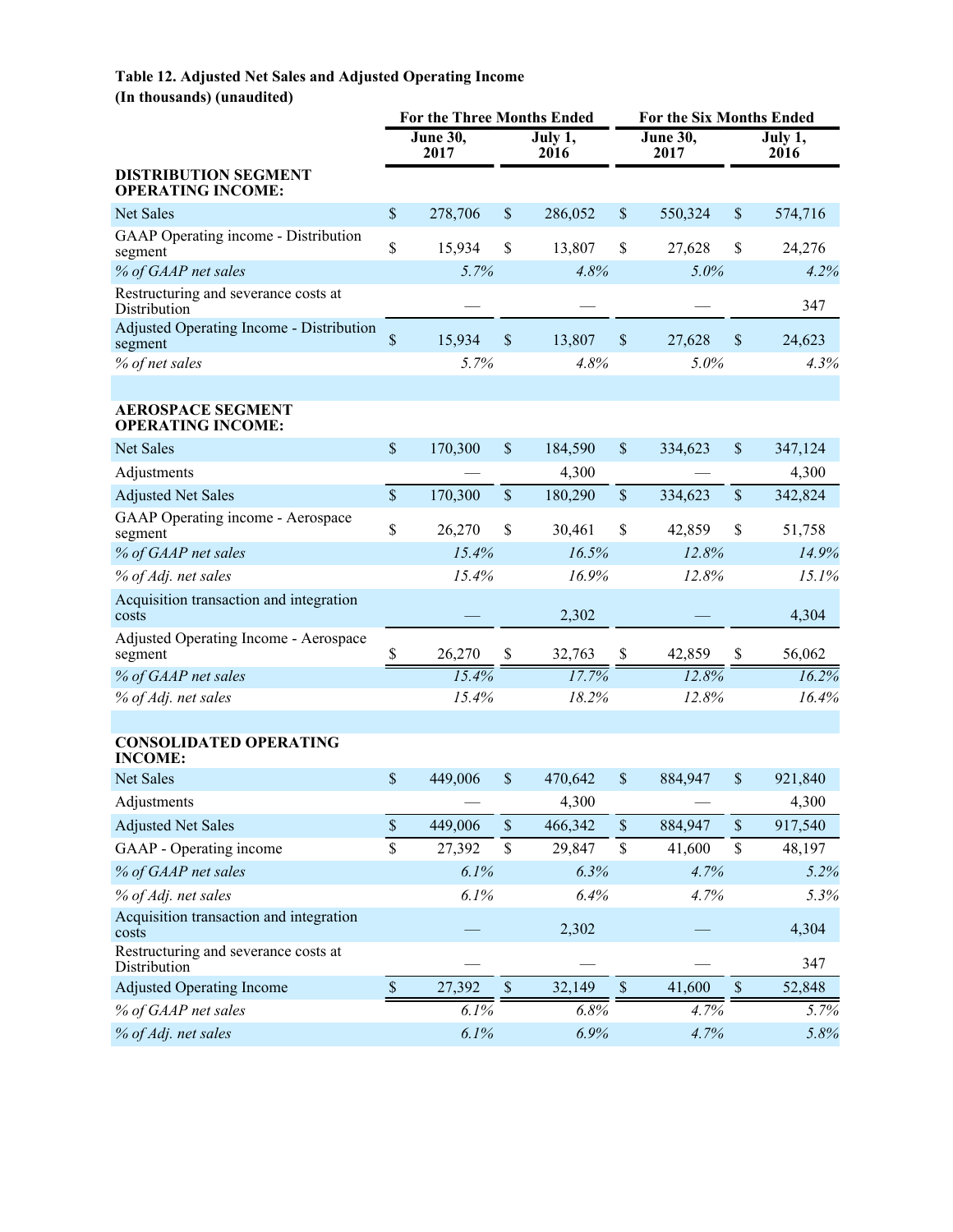## **Table 12. Adjusted Net Sales and Adjusted Operating Income (In thousands) (unaudited)**

|                                                         | <b>For the Three Months Ended</b> |                         |               |                 | <b>For the Six Months Ended</b> |                  |                      |                 |  |  |
|---------------------------------------------------------|-----------------------------------|-------------------------|---------------|-----------------|---------------------------------|------------------|----------------------|-----------------|--|--|
|                                                         |                                   | <b>June 30,</b><br>2017 |               | July 1,<br>2016 |                                 | June 30,<br>2017 |                      | July 1,<br>2016 |  |  |
| <b>DISTRIBUTION SEGMENT</b><br><b>OPERATING INCOME:</b> |                                   |                         |               |                 |                                 |                  |                      |                 |  |  |
| Net Sales                                               | $\mathsf{\$}$                     | 278,706                 | $\mathbb{S}$  | 286,052         | $\$$                            | 550,324          | $\$$                 | 574,716         |  |  |
| GAAP Operating income - Distribution<br>segment         | \$                                | 15,934                  | \$            | 13,807          | \$                              | 27,628           | \$                   | 24,276          |  |  |
| % of GAAP net sales                                     |                                   | 5.7%                    |               | 4.8%            |                                 | 5.0%             |                      | 4.2%            |  |  |
| Restructuring and severance costs at<br>Distribution    |                                   |                         |               |                 |                                 |                  |                      | 347             |  |  |
| Adjusted Operating Income - Distribution<br>segment     | $\mathbf{\hat{S}}$                | 15,934                  | $\mathcal{S}$ | 13,807          | \$                              | 27,628           | \$                   | 24,623          |  |  |
| % of net sales                                          |                                   | 5.7%                    |               | 4.8%            |                                 | 5.0%             |                      | 4.3%            |  |  |
|                                                         |                                   |                         |               |                 |                                 |                  |                      |                 |  |  |
| <b>AEROSPACE SEGMENT</b><br><b>OPERATING INCOME:</b>    |                                   |                         |               |                 |                                 |                  |                      |                 |  |  |
| <b>Net Sales</b>                                        | $\boldsymbol{\mathsf{S}}$         | 170,300                 | \$            | 184,590         | \$                              | 334,623          | $\$$                 | 347,124         |  |  |
| Adjustments                                             |                                   |                         |               | 4,300           |                                 |                  |                      | 4,300           |  |  |
| <b>Adjusted Net Sales</b>                               | $\sqrt{\ }$                       | 170,300                 | \$            | 180,290         | $\$$                            | 334,623          | $\$$                 | 342,824         |  |  |
| GAAP Operating income - Aerospace<br>segment            | \$                                | 26,270                  | \$            | 30,461          | \$                              | 42,859           | \$                   | 51,758          |  |  |
| % of GAAP net sales                                     |                                   | 15.4%                   |               | 16.5%           |                                 | 12.8%            |                      | 14.9%           |  |  |
| % of Adj. net sales                                     |                                   | 15.4%                   |               | 16.9%           |                                 | 12.8%            |                      | 15.1%           |  |  |
| Acquisition transaction and integration<br>costs        |                                   |                         |               | 2,302           |                                 |                  |                      | 4,304           |  |  |
| <b>Adjusted Operating Income - Aerospace</b><br>segment | \$                                | 26,270                  | \$            | 32,763          | \$                              | 42,859           | \$                   | 56,062          |  |  |
| % of GAAP net sales                                     |                                   | 15.4%                   |               | 17.7%           |                                 | 12.8%            |                      | 16.2%           |  |  |
| % of Adj. net sales                                     |                                   | 15.4%                   |               | 18.2%           |                                 | 12.8%            |                      | 16.4%           |  |  |
| <b>CONSOLIDATED OPERATING</b><br><b>INCOME:</b>         |                                   |                         |               |                 |                                 |                  |                      |                 |  |  |
| <b>Net Sales</b>                                        | $\boldsymbol{\mathsf{S}}$         | 449,006                 | \$            | 470,642         | \$                              | 884,947          | \$                   | 921,840         |  |  |
| Adjustments                                             |                                   |                         |               | 4,300           |                                 |                  |                      | 4,300           |  |  |
| <b>Adjusted Net Sales</b>                               | \$                                | 449,006                 | $\mathsf{\$}$ | 466,342         | $\overline{\$}$                 | 884,947          | $\sqrt{\frac{1}{2}}$ | 917,540         |  |  |
| GAAP - Operating income                                 | \$                                | 27,392                  | $\$$          | 29,847          | $\$$                            | 41,600           | \$                   | 48,197          |  |  |
| % of GAAP net sales                                     |                                   | 6.1%                    |               | 6.3%            |                                 | 4.7%             |                      | 5.2%            |  |  |
| % of Adj. net sales                                     |                                   | 6.1%                    |               | 6.4%            |                                 | 4.7%             |                      | 5.3%            |  |  |
| Acquisition transaction and integration<br>costs        |                                   |                         |               | 2,302           |                                 |                  |                      | 4,304           |  |  |
| Restructuring and severance costs at<br>Distribution    |                                   |                         |               |                 |                                 |                  |                      | 347             |  |  |
| <b>Adjusted Operating Income</b>                        | $\mathbb S$                       | 27,392                  | $\mathbb S$   | 32,149          | $\$$                            | 41,600           | $\mathbb S$          | 52,848          |  |  |
| % of GAAP net sales                                     |                                   | 6.1%                    |               | 6.8%            |                                 | 4.7%             |                      | 5.7%            |  |  |
| % of Adj. net sales                                     |                                   | 6.1%                    |               | 6.9%            |                                 | 4.7%             |                      | 5.8%            |  |  |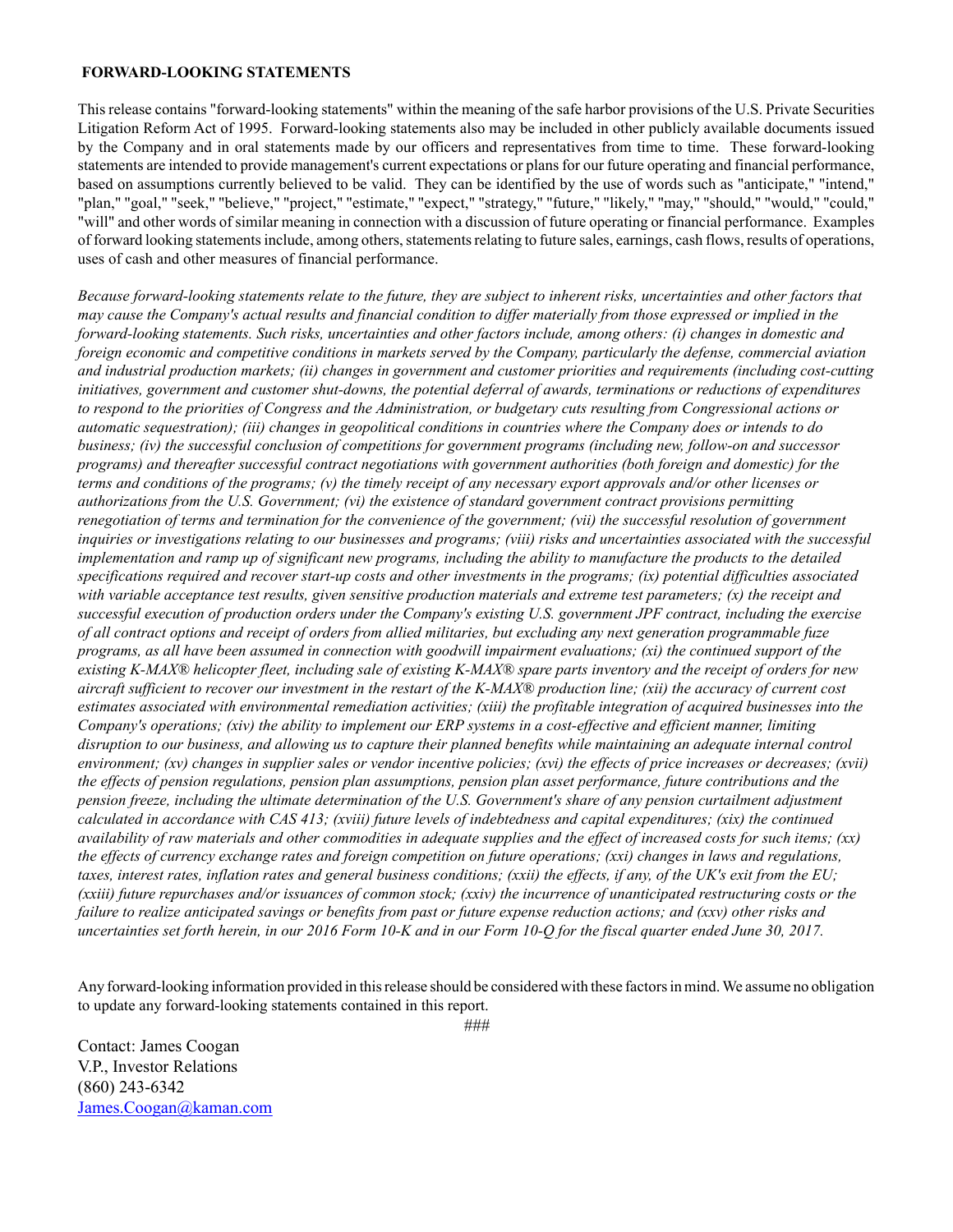#### **FORWARD-LOOKING STATEMENTS**

This release contains "forward-looking statements" within the meaning of the safe harbor provisions of the U.S. Private Securities Litigation Reform Act of 1995. Forward-looking statements also may be included in other publicly available documents issued by the Company and in oral statements made by our officers and representatives from time to time. These forward-looking statements are intended to provide management's current expectations or plans for our future operating and financial performance, based on assumptions currently believed to be valid. They can be identified by the use of words such as "anticipate," "intend," "plan," "goal," "seek," "believe," "project," "estimate," "expect," "strategy," "future," "likely," "may," "should," "would," "could," "will" and other words of similar meaning in connection with a discussion of future operating or financial performance. Examples of forward looking statements include, among others, statements relating to future sales, earnings, cash flows, results of operations, uses of cash and other measures of financial performance.

*Because forward-looking statements relate to the future, they are subject to inherent risks, uncertainties and other factors that may cause the Company's actual results and financial condition to differ materially from those expressed or implied in the forward-looking statements. Such risks, uncertainties and other factors include, among others: (i) changes in domestic and foreign economic and competitive conditions in markets served by the Company, particularly the defense, commercial aviation and industrial production markets; (ii) changes in government and customer priorities and requirements (including cost-cutting initiatives, government and customer shut-downs, the potential deferral of awards, terminations or reductions of expenditures to respond to the priorities of Congress and the Administration, or budgetary cuts resulting from Congressional actions or automatic sequestration); (iii) changes in geopolitical conditions in countries where the Company does or intends to do business; (iv) the successful conclusion of competitions for government programs (including new, follow-on and successor programs) and thereafter successful contract negotiations with government authorities (both foreign and domestic) for the terms and conditions of the programs; (v) the timely receipt of any necessary export approvals and/or other licenses or authorizations from the U.S. Government; (vi) the existence of standard government contract provisions permitting renegotiation of terms and termination for the convenience of the government; (vii) the successful resolution of government inquiries or investigations relating to our businesses and programs; (viii) risks and uncertainties associated with the successful implementation and ramp up of significant new programs, including the ability to manufacture the products to the detailed specifications required and recover start-up costs and other investments in the programs; (ix) potential difficulties associated with variable acceptance test results, given sensitive production materials and extreme test parameters; (x) the receipt and successful execution of production orders under the Company's existing U.S. government JPF contract, including the exercise of all contract options and receipt of orders from allied militaries, but excluding any next generation programmable fuze programs, as all have been assumed in connection with goodwill impairment evaluations; (xi) the continued support of the existing K-MAX® helicopter fleet, including sale of existing K-MAX® spare parts inventory and the receipt of orders for new aircraft sufficient to recover our investment in the restart of the K-MAX® production line; (xii) the accuracy of current cost estimates associated with environmental remediation activities; (xiii) the profitable integration of acquired businesses into the Company's operations; (xiv) the ability to implement our ERP systems in a cost-effective and efficient manner, limiting disruption to our business, and allowing us to capture their planned benefits while maintaining an adequate internal control environment; (xv) changes in supplier sales or vendor incentive policies; (xvi) the effects of price increases or decreases; (xvii) the effects of pension regulations, pension plan assumptions, pension plan asset performance, future contributions and the pension freeze, including the ultimate determination of the U.S. Government's share of any pension curtailment adjustment calculated in accordance with CAS 413; (xviii) future levels of indebtedness and capital expenditures; (xix) the continued availability of raw materials and other commodities in adequate supplies and the effect of increased costs for such items; (xx) the effects of currency exchange rates and foreign competition on future operations; (xxi) changes in laws and regulations, taxes, interest rates, inflation rates and general business conditions; (xxii) the effects, if any, of the UK's exit from the EU; (xxiii) future repurchases and/or issuances of common stock; (xxiv) the incurrence of unanticipated restructuring costs or the failure to realize anticipated savings or benefits from past or future expense reduction actions; and (xxv) other risks and uncertainties set forth herein, in our 2016 Form 10-K and in our Form 10-Q for the fiscal quarter ended June 30, 2017.*

Any forward-looking information provided in this release should be considered with these factors in mind. We assume no obligation to update any forward-looking statements contained in this report.

*###*

Contact: James Coogan V.P., Investor Relations (860) 243-6342 James.Coogan@kaman.com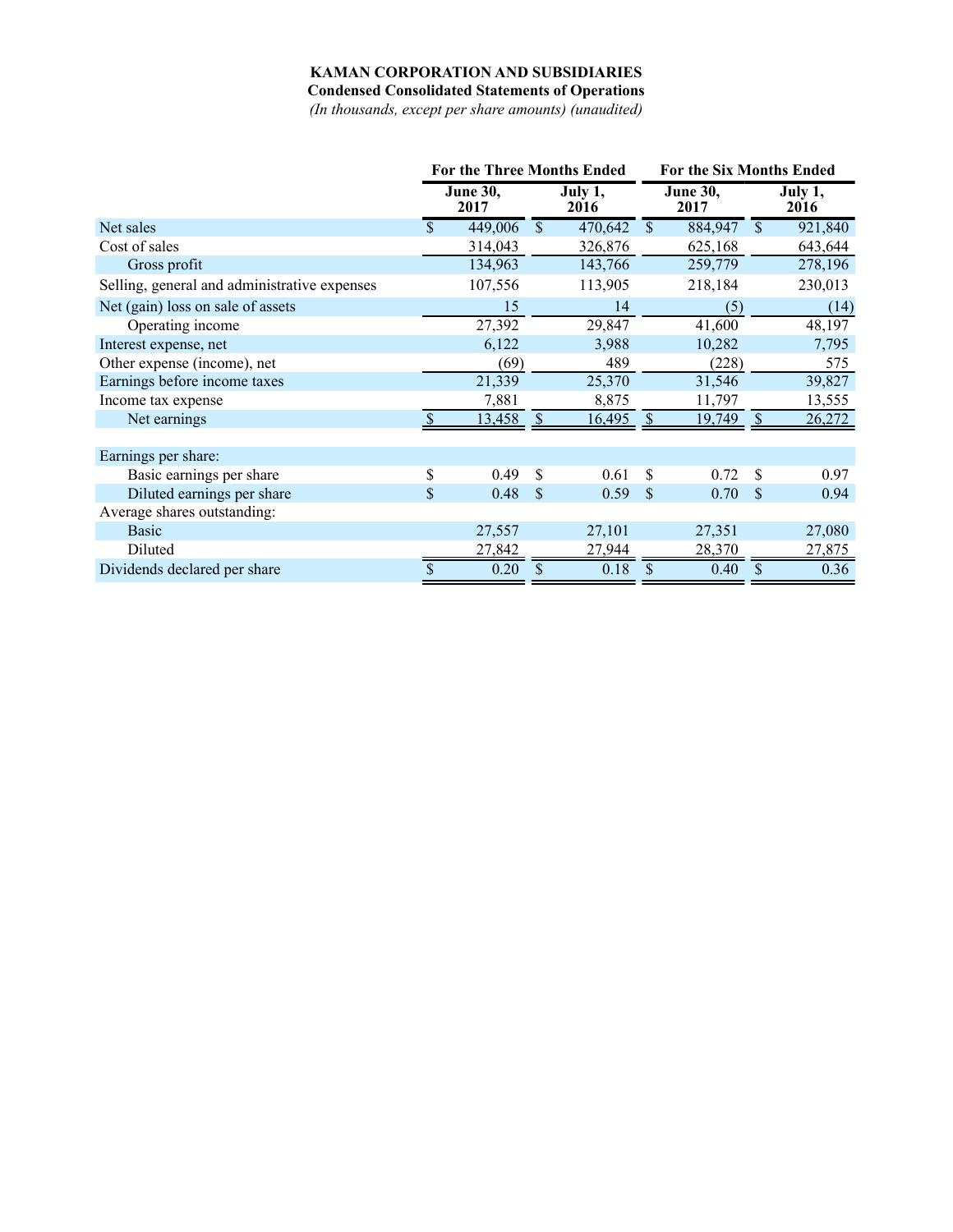## **KAMAN CORPORATION AND SUBSIDIARIES**

**Condensed Consolidated Statements of Operations**

*(In thousands, except per share amounts) (unaudited)*

|                                              | <b>For the Three Months Ended</b> |                         |               | For the Six Months Ended |               |                         |              |                 |
|----------------------------------------------|-----------------------------------|-------------------------|---------------|--------------------------|---------------|-------------------------|--------------|-----------------|
|                                              |                                   | <b>June 30,</b><br>2017 |               | July $1,$<br>2016        |               | <b>June 30,</b><br>2017 |              | July 1,<br>2016 |
| Net sales                                    | $\mathbf{\hat{S}}$                | 449,006                 | $\mathbb{S}$  | 470,642                  | $\mathbf{\$}$ | 884,947                 | $\mathbb{S}$ | 921,840         |
| Cost of sales                                |                                   | 314,043                 |               | 326,876                  |               | 625,168                 |              | 643,644         |
| Gross profit                                 |                                   | 134,963                 |               | 143,766                  |               | 259,779                 |              | 278,196         |
| Selling, general and administrative expenses |                                   | 107,556                 |               | 113,905                  |               | 218,184                 |              | 230,013         |
| Net (gain) loss on sale of assets            |                                   | 15                      |               | 14                       |               | (5)                     |              | (14)            |
| Operating income                             |                                   | 27,392                  |               | 29,847                   |               | 41,600                  |              | 48,197          |
| Interest expense, net                        |                                   | 6,122                   |               | 3,988                    |               | 10,282                  |              | 7,795           |
| Other expense (income), net                  |                                   | (69)                    |               | 489                      |               | (228)                   |              | 575             |
| Earnings before income taxes                 |                                   | 21,339                  |               | 25,370                   |               | 31,546                  |              | 39,827          |
| Income tax expense                           |                                   | 7,881                   |               | 8,875                    |               | 11,797                  |              | 13,555          |
| Net earnings                                 |                                   | 13,458                  | -S            | 16,495                   | -S            | 19,749                  | -S           | 26,272          |
| Earnings per share:                          |                                   |                         |               |                          |               |                         |              |                 |
| Basic earnings per share                     | \$                                | 0.49                    | -S            | 0.61                     | \$            | 0.72                    | \$.          | 0.97            |
| Diluted earnings per share                   | \$                                | 0.48                    | <sup>\$</sup> | 0.59                     | $\mathcal{S}$ | 0.70                    | \$           | 0.94            |
| Average shares outstanding:                  |                                   |                         |               |                          |               |                         |              |                 |
| <b>Basic</b>                                 |                                   | 27,557                  |               | 27,101                   |               | 27,351                  |              | 27,080          |
| Diluted                                      |                                   | 27,842                  |               | 27,944                   |               | 28,370                  |              | 27,875          |
| Dividends declared per share                 | \$                                | 0.20                    | \$            | 0.18                     | S             | 0.40                    | S            | 0.36            |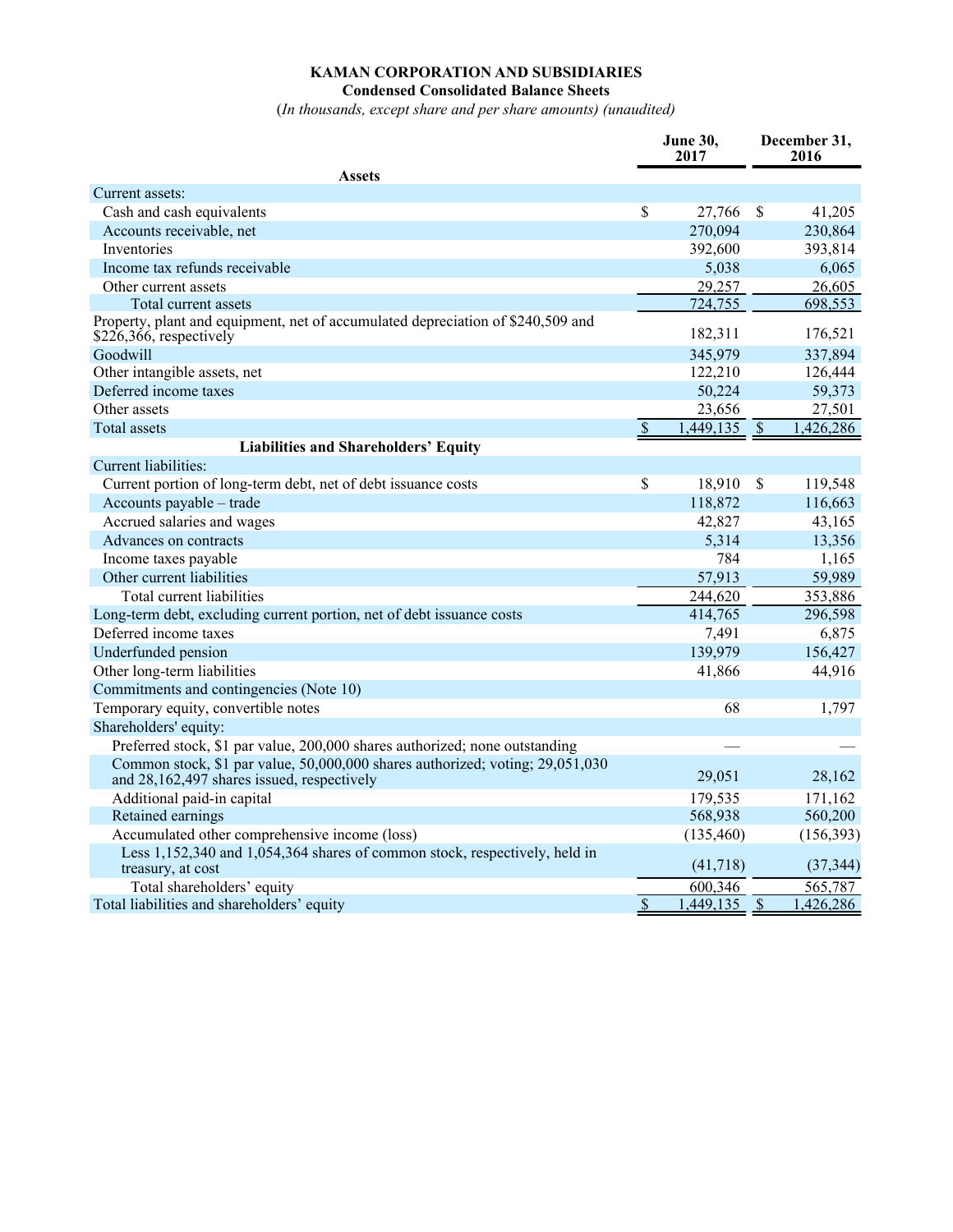## **KAMAN CORPORATION AND SUBSIDIARIES Condensed Consolidated Balance Sheets**

(*In thousands, except share and per share amounts) (unaudited)*

|                                                                                                                             |                          | <b>June 30,</b><br>2017 | December 31,<br>2016     |            |
|-----------------------------------------------------------------------------------------------------------------------------|--------------------------|-------------------------|--------------------------|------------|
| <b>Assets</b>                                                                                                               |                          |                         |                          |            |
| Current assets:                                                                                                             |                          |                         |                          |            |
| Cash and cash equivalents                                                                                                   | \$                       | 27,766                  | <sup>\$</sup>            | 41,205     |
| Accounts receivable, net                                                                                                    |                          | 270,094                 |                          | 230,864    |
| Inventories                                                                                                                 |                          | 392,600                 |                          | 393,814    |
| Income tax refunds receivable                                                                                               |                          | 5,038                   |                          | 6,065      |
| Other current assets                                                                                                        |                          | 29,257                  |                          | 26,605     |
| Total current assets                                                                                                        |                          | 724,755                 |                          | 698,553    |
| Property, plant and equipment, net of accumulated depreciation of \$240,509 and<br>$$226,366$ , respectively                |                          | 182,311                 |                          | 176,521    |
| Goodwill                                                                                                                    |                          | 345,979                 |                          | 337,894    |
| Other intangible assets, net                                                                                                |                          | 122,210                 |                          | 126,444    |
| Deferred income taxes                                                                                                       |                          | 50,224                  |                          | 59,373     |
| Other assets                                                                                                                |                          | 23,656                  |                          | 27,501     |
| <b>Total assets</b>                                                                                                         | $\overline{\mathcal{S}}$ | 1,449,135               | $\sqrt{3}$               | 1,426,286  |
| Liabilities and Shareholders' Equity                                                                                        |                          |                         |                          |            |
| Current liabilities:                                                                                                        |                          |                         |                          |            |
| Current portion of long-term debt, net of debt issuance costs                                                               | \$                       | 18,910                  | $\mathcal{S}$            | 119,548    |
| Accounts payable - trade                                                                                                    |                          | 118,872                 |                          | 116,663    |
| Accrued salaries and wages                                                                                                  |                          | 42,827                  |                          | 43,165     |
| Advances on contracts                                                                                                       |                          | 5,314                   |                          | 13,356     |
| Income taxes payable                                                                                                        |                          | 784                     |                          | 1,165      |
| Other current liabilities                                                                                                   |                          | 57,913                  |                          | 59,989     |
| Total current liabilities                                                                                                   |                          | 244,620                 |                          | 353,886    |
| Long-term debt, excluding current portion, net of debt issuance costs                                                       |                          | 414,765                 |                          | 296,598    |
| Deferred income taxes                                                                                                       |                          | 7,491                   |                          | 6,875      |
| Underfunded pension                                                                                                         |                          | 139,979                 |                          | 156,427    |
| Other long-term liabilities                                                                                                 |                          | 41,866                  |                          | 44,916     |
| Commitments and contingencies (Note 10)                                                                                     |                          |                         |                          |            |
| Temporary equity, convertible notes                                                                                         |                          | 68                      |                          | 1,797      |
| Shareholders' equity:                                                                                                       |                          |                         |                          |            |
| Preferred stock, \$1 par value, 200,000 shares authorized; none outstanding                                                 |                          |                         |                          |            |
| Common stock, \$1 par value, 50,000,000 shares authorized; voting; 29,051,030<br>and 28,162,497 shares issued, respectively |                          | 29,051                  |                          | 28,162     |
| Additional paid-in capital                                                                                                  |                          | 179,535                 |                          | 171,162    |
| Retained earnings                                                                                                           |                          | 568,938                 |                          | 560,200    |
| Accumulated other comprehensive income (loss)                                                                               |                          | (135, 460)              |                          | (156, 393) |
| Less 1,152,340 and 1,054,364 shares of common stock, respectively, held in<br>treasury, at cost                             |                          | (41,718)                |                          | (37, 344)  |
| Total shareholders' equity                                                                                                  |                          | 600,346                 |                          | 565,787    |
| Total liabilities and shareholders' equity                                                                                  | $\overline{\mathcal{S}}$ | ,449,135                | $\overline{\mathcal{S}}$ | 1,426,286  |